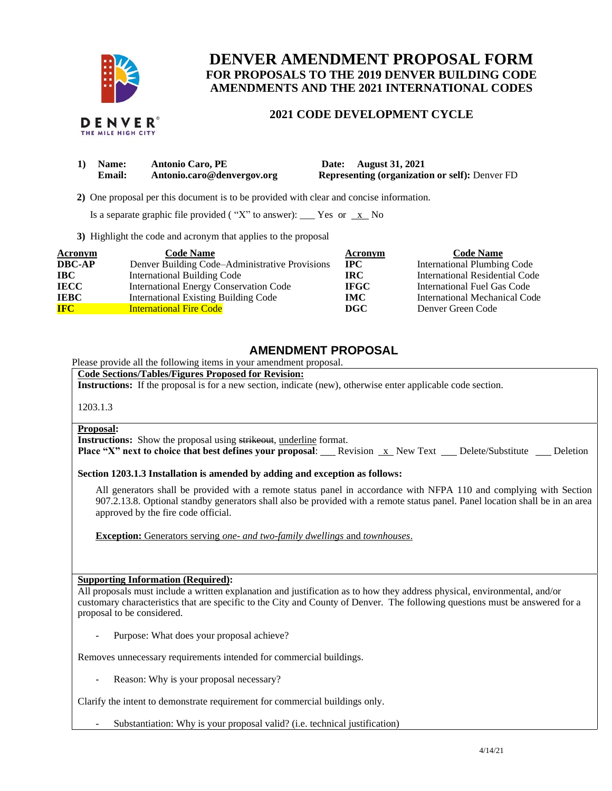

THE MILE HIGH CITY

# **DENVER AMENDMENT PROPOSAL FORM FOR PROPOSALS TO THE 2019 DENVER BUILDING CODE AMENDMENTS AND THE 2021 INTERNATIONAL CODES**

### **2021 CODE DEVELOPMENT CYCLE**

| 1) Name:      | <b>Antonio Caro, PE</b>    | Date: August 31, 2021                                 |
|---------------|----------------------------|-------------------------------------------------------|
| <b>Email:</b> | Antonio.caro@denvergov.org | <b>Representing (organization or self): Denver FD</b> |

 **2)** One proposal per this document is to be provided with clear and concise information.

Is a separate graphic file provided ("X" to answer): \_\_\_ Yes or  $x$  No

**3)** Highlight the code and acronym that applies to the proposal

| Acronym       | <b>Code Name</b>                               | Acronym     | <b>Code Name</b>               |
|---------------|------------------------------------------------|-------------|--------------------------------|
| <b>DBC-AP</b> | Denver Building Code–Administrative Provisions | <b>IPC</b>  | International Plumbing Code    |
| <b>IBC</b>    | <b>International Building Code</b>             | <b>IRC</b>  | International Residential Code |
| <b>IECC</b>   | International Energy Conservation Code         | <b>IFGC</b> | International Fuel Gas Code    |
| <b>IEBC</b>   | <b>International Existing Building Code</b>    | <b>IMC</b>  | International Mechanical Code  |
| <b>IFC</b>    | <b>International Fire Code</b>                 | DGC         | Denver Green Code              |

## **AMENDMENT PROPOSAL**

Please provide all the following items in your amendment proposal.

**Code Sections/Tables/Figures Proposed for Revision:**

**Instructions:** If the proposal is for a new section, indicate (new), otherwise enter applicable code section.

1203.1.3

#### **Proposal:**

**Instructions:** Show the proposal using strikeout, underline format.

**Place "X" next to choice that best defines your proposal:** Revision x New Text Delete/Substitute Deletion

**Section 1203.1.3 Installation is amended by adding and exception as follows:**

All generators shall be provided with a remote status panel in accordance with NFPA 110 and complying with Section 907.2.13.8. Optional standby generators shall also be provided with a remote status panel. Panel location shall be in an area approved by the fire code official.

**Exception:** Generators serving *one- and two-family dwellings* and *townhouses*.

### **Supporting Information (Required):**

All proposals must include a written explanation and justification as to how they address physical, environmental, and/or customary characteristics that are specific to the City and County of Denver. The following questions must be answered for a proposal to be considered.

Purpose: What does your proposal achieve?

Removes unnecessary requirements intended for commercial buildings.

Reason: Why is your proposal necessary?

Clarify the intent to demonstrate requirement for commercial buildings only.

Substantiation: Why is your proposal valid? (i.e. technical justification)